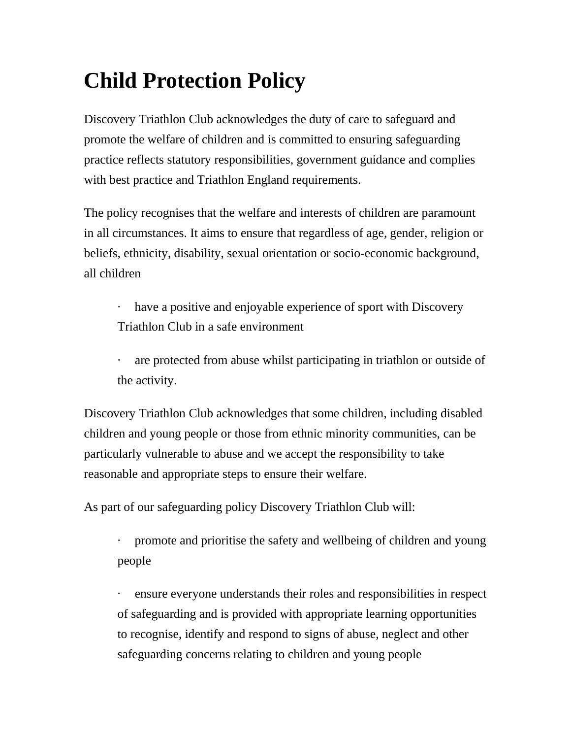## **Child Protection Policy**

Discovery Triathlon Club acknowledges the duty of care to safeguard and promote the welfare of children and is committed to ensuring safeguarding practice reflects statutory responsibilities, government guidance and complies with best practice and Triathlon England requirements.

The policy recognises that the welfare and interests of children are paramount in all circumstances. It aims to ensure that regardless of age, gender, religion or beliefs, ethnicity, disability, sexual orientation or socio-economic background, all children

· have a positive and enjoyable experience of sport with Discovery Triathlon Club in a safe environment

are protected from abuse whilst participating in triathlon or outside of the activity.

Discovery Triathlon Club acknowledges that some children, including disabled children and young people or those from ethnic minority communities, can be particularly vulnerable to abuse and we accept the responsibility to take reasonable and appropriate steps to ensure their welfare.

As part of our safeguarding policy Discovery Triathlon Club will:

· promote and prioritise the safety and wellbeing of children and young people

· ensure everyone understands their roles and responsibilities in respect of safeguarding and is provided with appropriate learning opportunities to recognise, identify and respond to signs of abuse, neglect and other safeguarding concerns relating to children and young people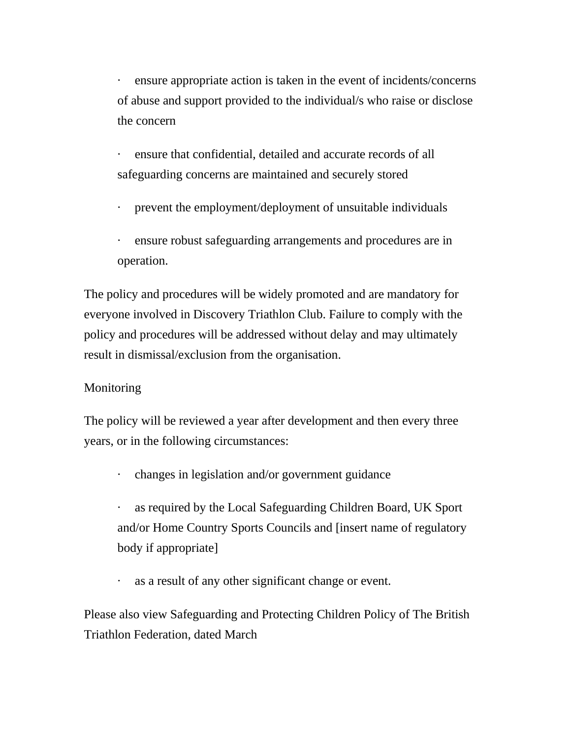ensure appropriate action is taken in the event of incidents/concerns of abuse and support provided to the individual/s who raise or disclose the concern

- ensure that confidential, detailed and accurate records of all safeguarding concerns are maintained and securely stored
- · prevent the employment/deployment of unsuitable individuals
- ensure robust safeguarding arrangements and procedures are in operation.

The policy and procedures will be widely promoted and are mandatory for everyone involved in Discovery Triathlon Club. Failure to comply with the policy and procedures will be addressed without delay and may ultimately result in dismissal/exclusion from the organisation.

## Monitoring

The policy will be reviewed a year after development and then every three years, or in the following circumstances:

- · changes in legislation and/or government guidance
- as required by the Local Safeguarding Children Board, UK Sport and/or Home Country Sports Councils and [insert name of regulatory body if appropriate]
- as a result of any other significant change or event.

Please also view Safeguarding and Protecting Children Policy of The British Triathlon Federation, dated March